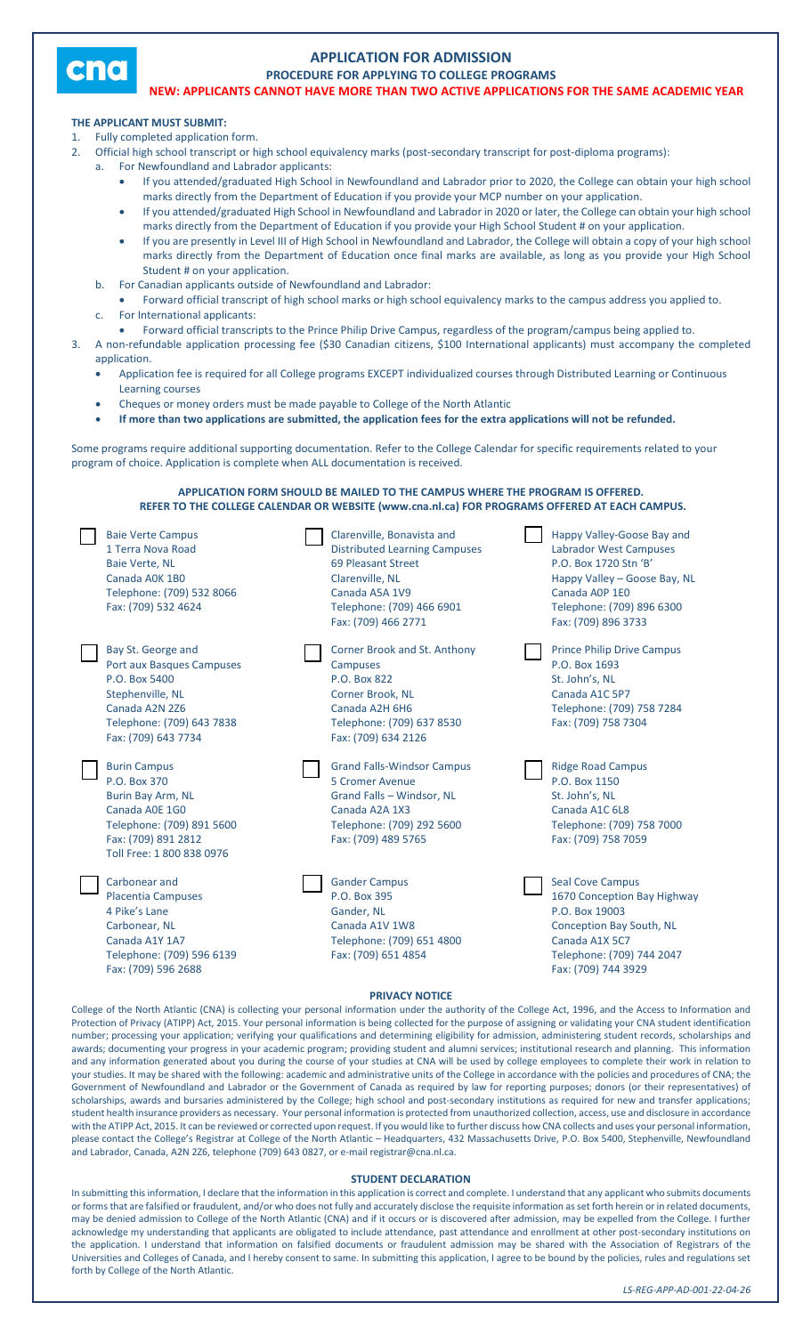

## **APPLICATION FOR ADMISSION**

**PROCEDURE FOR APPLYING TO COLLEGE PROGRAMS NEW: APPLICANTS CANNOT HAVE MORE THAN TWO ACTIVE APPLICATIONS FOR THE SAME ACADEMIC YEAR**

## **THE APPLICANT MUST SUBMIT:**

- Fully completed application form.
	- 2. Official high school transcript or high school equivalency marks (post-secondary transcript for post-diploma programs):
	- For Newfoundland and Labrador applicants:
		- If you attended/graduated High School in Newfoundland and Labrador prior to 2020, the College can obtain your high school marks directly from the Department of Education if you provide your MCP number on your application.
		- If you attended/graduated High School in Newfoundland and Labrador in 2020 or later, the College can obtain your high school marks directly from the Department of Education if you provide your High School Student # on your application.
		- If you are presently in Level III of High School in Newfoundland and Labrador, the College will obtain a copy of your high school marks directly from the Department of Education once final marks are available, as long as you provide your High School Student # on your application.
		- b. For Canadian applicants outside of Newfoundland and Labrador:
		- Forward official transcript of high school marks or high school equivalency marks to the campus address you applied to.
		- For International applicants:
- Forward official transcripts to the Prince Philip Drive Campus, regardless of the program/campus being applied to. 3. A non-refundable application processing fee (\$30 Canadian citizens, \$100 International applicants) must accompany the completed
- application.
	- Application fee is required for all College programs EXCEPT individualized courses through Distributed Learning or Continuous Learning courses
	- Cheques or money orders must be made payable to College of the North Atlantic
	- **If more than two applications are submitted, the application fees for the extra applications will not be refunded.**

Some programs require additional supporting documentation. Refer to the College Calendar for specific requirements related to your program of choice. Application is complete when ALL documentation is received.

**APPLICATION FORM SHOULD BE MAILED TO THE CAMPUS WHERE THE PROGRAM IS OFFERED. REFER TO THE COLLEGE CALENDAR OR WEBSITE (www.cna.nl.ca) FOR PROGRAMS OFFERED AT EACH CAMPUS.**

| <b>Baie Verte Campus</b><br>1 Terra Nova Road<br><b>Baie Verte, NL</b><br>Canada AOK 1BO<br>Telephone: (709) 532 8066<br>Fax: (709) 532 4624                | Clarenville, Bonavista and<br><b>Distributed Learning Campuses</b><br>69 Pleasant Street<br>Clarenville, NL<br>Canada A5A 1V9<br>Telephone: (709) 466 6901<br>Fax: (709) 466 2771 | Happy Valley-Goose Bay and<br><b>Labrador West Campuses</b><br>P.O. Box 1720 Stn 'B'<br>Happy Valley - Goose Bay, NL<br>Canada AOP 1EO<br>Telephone: (709) 896 6300<br>Fax: (709) 896 3733 |
|-------------------------------------------------------------------------------------------------------------------------------------------------------------|-----------------------------------------------------------------------------------------------------------------------------------------------------------------------------------|--------------------------------------------------------------------------------------------------------------------------------------------------------------------------------------------|
| Bay St. George and<br>Port aux Basques Campuses<br>P.O. Box 5400<br>Stephenville, NL<br>Canada A2N 2Z6<br>Telephone: (709) 643 7838<br>Fax: (709) 643 7734  | Corner Brook and St. Anthony<br><b>Campuses</b><br>P.O. Box 822<br>Corner Brook, NL<br>Canada A2H 6H6<br>Telephone: (709) 637 8530<br>Fax: (709) 634 2126                         | <b>Prince Philip Drive Campus</b><br>P.O. Box 1693<br>St. John's, NL<br>Canada A1C 5P7<br>Telephone: (709) 758 7284<br>Fax: (709) 758 7304                                                 |
| <b>Burin Campus</b><br>P.O. Box 370<br>Burin Bay Arm, NL<br>Canada A0E 1G0<br>Telephone: (709) 891 5600<br>Fax: (709) 891 2812<br>Toll Free: 1 800 838 0976 | <b>Grand Falls-Windsor Campus</b><br>5 Cromer Avenue<br>Grand Falls - Windsor, NL<br>Canada A2A 1X3<br>Telephone: (709) 292 5600<br>Fax: (709) 489 5765                           | <b>Ridge Road Campus</b><br>P.O. Box 1150<br>St. John's, NL<br>Canada A1C 6L8<br>Telephone: (709) 758 7000<br>Fax: (709) 758 7059                                                          |
| Carbonear and<br><b>Placentia Campuses</b><br>4 Pike's Lane<br>Carbonear, NL<br>Canada A1Y 1A7<br>Telephone: (709) 596 6139<br>Fax: (709) 596 2688          | <b>Gander Campus</b><br>P.O. Box 395<br>Gander, NL<br>Canada A1V 1W8<br>Telephone: (709) 651 4800<br>Fax: (709) 651 4854                                                          | <b>Seal Cove Campus</b><br>1670 Conception Bay Highway<br>P.O. Box 19003<br>Conception Bay South, NL<br>Canada A1X 5C7<br>Telephone: (709) 744 2047<br>Fax: (709) 744 3929                 |

## **PRIVACY NOTICE**

College of the North Atlantic (CNA) is collecting your personal information under the authority of the College Act, 1996, and the Access to Information and Protection of Privacy (ATIPP) Act, 2015. Your personal information is being collected for the purpose of assigning or validating your CNA student identification number; processing your application; verifying your qualifications and determining eligibility for admission, administering student records, scholarships and awards; documenting your progress in your academic program; providing student and alumni services; institutional research and planning. This information and any information generated about you during the course of your studies at CNA will be used by college employees to complete their work in relation to your studies. It may be shared with the following: academic and administrative units of the College in accordance with the policies and procedures of CNA; the Government of Newfoundland and Labrador or the Government of Canada as required by law for reporting purposes; donors (or their representatives) of scholarships, awards and bursaries administered by the College; high school and post-secondary institutions as required for new and transfer applications; student health insurance providers as necessary. Your personal information is protected from unauthorized collection, access, use and disclosure in accordance with the ATIPP Act, 2015. It can be reviewed or corrected upon request. If you would like to further discuss how CNA collects and uses your personal information, please contact the College's Registrar at College of the North Atlantic – Headquarters, 432 Massachusetts Drive, P.O. Box 5400, Stephenville, Newfoundland and Labrador, Canada, A2N 2Z6, telephone (709) 643 0827, or e-mail registrar@cna.nl.ca.

## **STUDENT DECLARATION**

In submitting this information, I declare that the information in this application is correct and complete. I understand that any applicant who submits documents or forms that are falsified or fraudulent, and/or who does not fully and accurately disclose the requisite information as set forth herein or in related documents, may be denied admission to College of the North Atlantic (CNA) and if it occurs or is discovered after admission, may be expelled from the College. I further acknowledge my understanding that applicants are obligated to include attendance, past attendance and enrollment at other post-secondary institutions on the application. I understand that information on falsified documents or fraudulent admission may be shared with the Association of Registrars of the Universities and Colleges of Canada, and I hereby consent to same. In submitting this application, I agree to be bound by the policies, rules and regulations set forth by College of the North Atlantic.